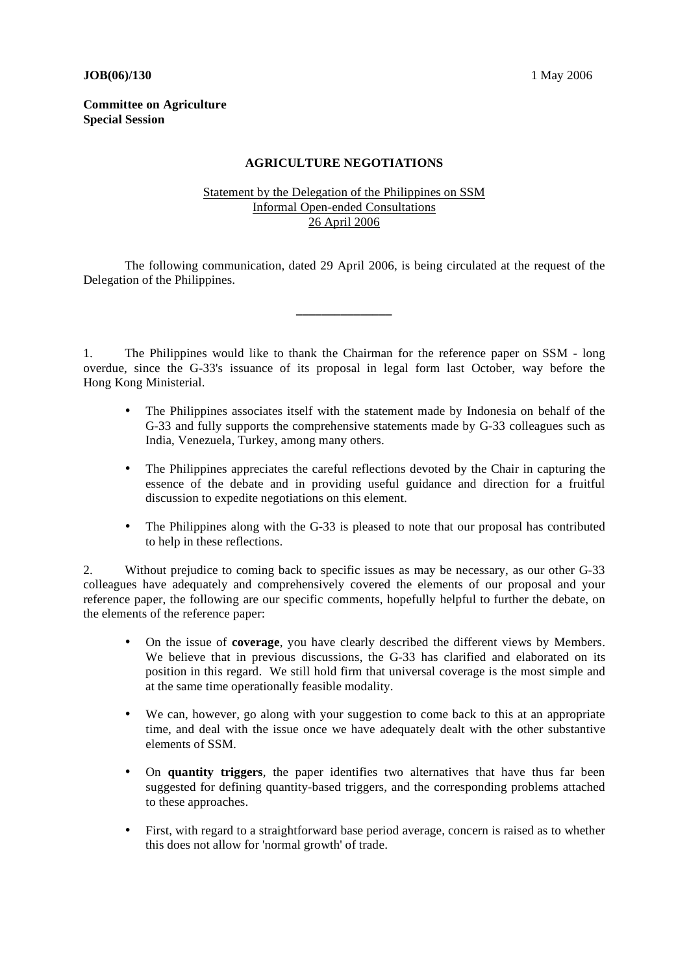## **JOB**(06)/130 1 May 2006

## **Committee on Agriculture Special Session**

## **AGRICULTURE NEGOTIATIONS**

## Statement by the Delegation of the Philippines on SSM Informal Open-ended Consultations 26 April 2006

 The following communication, dated 29 April 2006, is being circulated at the request of the Delegation of the Philippines.

**\_\_\_\_\_\_\_\_\_\_\_\_\_\_\_** 

1. The Philippines would like to thank the Chairman for the reference paper on SSM - long overdue, since the G-33's issuance of its proposal in legal form last October, way before the Hong Kong Ministerial.

- The Philippines associates itself with the statement made by Indonesia on behalf of the G-33 and fully supports the comprehensive statements made by G-33 colleagues such as India, Venezuela, Turkey, among many others.
- The Philippines appreciates the careful reflections devoted by the Chair in capturing the essence of the debate and in providing useful guidance and direction for a fruitful discussion to expedite negotiations on this element.
- The Philippines along with the G-33 is pleased to note that our proposal has contributed to help in these reflections.

2. Without prejudice to coming back to specific issues as may be necessary, as our other G-33 colleagues have adequately and comprehensively covered the elements of our proposal and your reference paper, the following are our specific comments, hopefully helpful to further the debate, on the elements of the reference paper:

- On the issue of **coverage**, you have clearly described the different views by Members. We believe that in previous discussions, the G-33 has clarified and elaborated on its position in this regard. We still hold firm that universal coverage is the most simple and at the same time operationally feasible modality.
- We can, however, go along with your suggestion to come back to this at an appropriate time, and deal with the issue once we have adequately dealt with the other substantive elements of SSM.
- On **quantity triggers**, the paper identifies two alternatives that have thus far been suggested for defining quantity-based triggers, and the corresponding problems attached to these approaches.
- First, with regard to a straightforward base period average, concern is raised as to whether this does not allow for 'normal growth' of trade.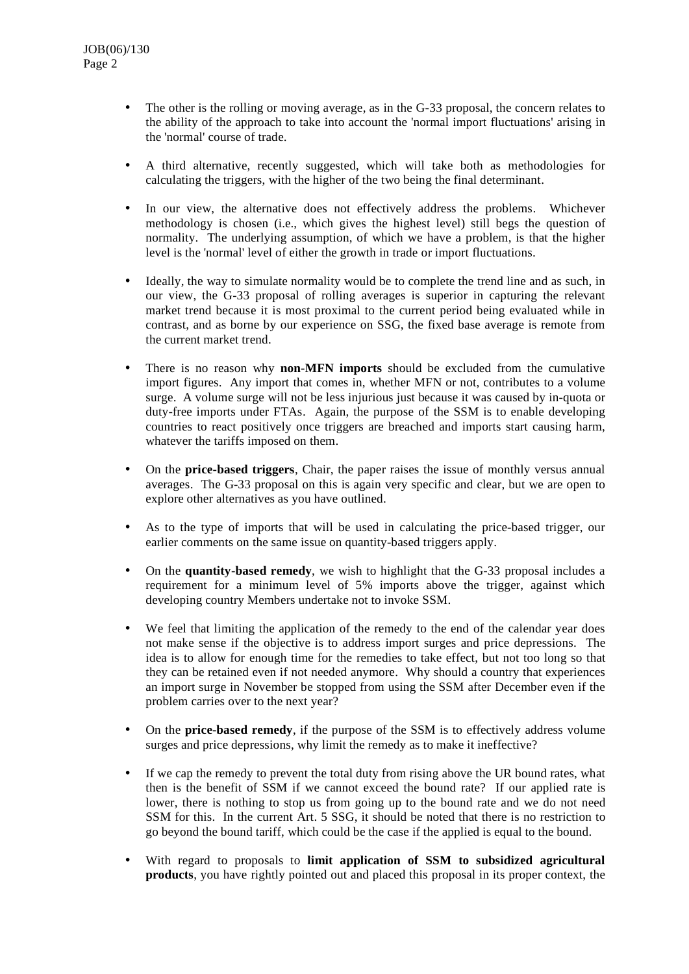- The other is the rolling or moving average, as in the G-33 proposal, the concern relates to the ability of the approach to take into account the 'normal import fluctuations' arising in the 'normal' course of trade.
- A third alternative, recently suggested, which will take both as methodologies for calculating the triggers, with the higher of the two being the final determinant.
- In our view, the alternative does not effectively address the problems. Whichever methodology is chosen (i.e., which gives the highest level) still begs the question of normality. The underlying assumption, of which we have a problem, is that the higher level is the 'normal' level of either the growth in trade or import fluctuations.
- Ideally, the way to simulate normality would be to complete the trend line and as such, in our view, the G-33 proposal of rolling averages is superior in capturing the relevant market trend because it is most proximal to the current period being evaluated while in contrast, and as borne by our experience on SSG, the fixed base average is remote from the current market trend.
- There is no reason why **non-MFN imports** should be excluded from the cumulative import figures. Any import that comes in, whether MFN or not, contributes to a volume surge. A volume surge will not be less injurious just because it was caused by in-quota or duty-free imports under FTAs. Again, the purpose of the SSM is to enable developing countries to react positively once triggers are breached and imports start causing harm, whatever the tariffs imposed on them.
- On the **price-based triggers**, Chair, the paper raises the issue of monthly versus annual averages. The G-33 proposal on this is again very specific and clear, but we are open to explore other alternatives as you have outlined.
- As to the type of imports that will be used in calculating the price-based trigger, our earlier comments on the same issue on quantity-based triggers apply.
- On the **quantity-based remedy**, we wish to highlight that the G-33 proposal includes a requirement for a minimum level of 5% imports above the trigger, against which developing country Members undertake not to invoke SSM.
- We feel that limiting the application of the remedy to the end of the calendar year does not make sense if the objective is to address import surges and price depressions. The idea is to allow for enough time for the remedies to take effect, but not too long so that they can be retained even if not needed anymore. Why should a country that experiences an import surge in November be stopped from using the SSM after December even if the problem carries over to the next year?
- On the **price-based remedy**, if the purpose of the SSM is to effectively address volume surges and price depressions, why limit the remedy as to make it ineffective?
- If we cap the remedy to prevent the total duty from rising above the UR bound rates, what then is the benefit of SSM if we cannot exceed the bound rate? If our applied rate is lower, there is nothing to stop us from going up to the bound rate and we do not need SSM for this. In the current Art. 5 SSG, it should be noted that there is no restriction to go beyond the bound tariff, which could be the case if the applied is equal to the bound.
- With regard to proposals to **limit application of SSM to subsidized agricultural products**, you have rightly pointed out and placed this proposal in its proper context, the